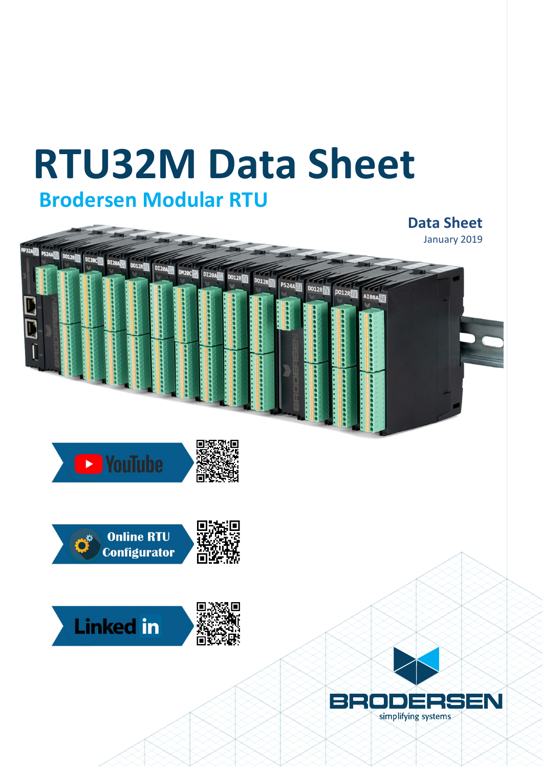# **RTU32M Data Sheet Brodersen Modular RTU**

en de la poste de la poste de la poste de la poste de la poste de la poste de la poste de la poste de la poste<br>De la poste de la poste de la poste de la poste de la poste de la poste de la poste de la poste de la poste d

## **Data Sheet** January 2019DM20C**ENT** DI20A **DO12R**  $D_{012R}$ PS24A DO12R PO12RE AI08A







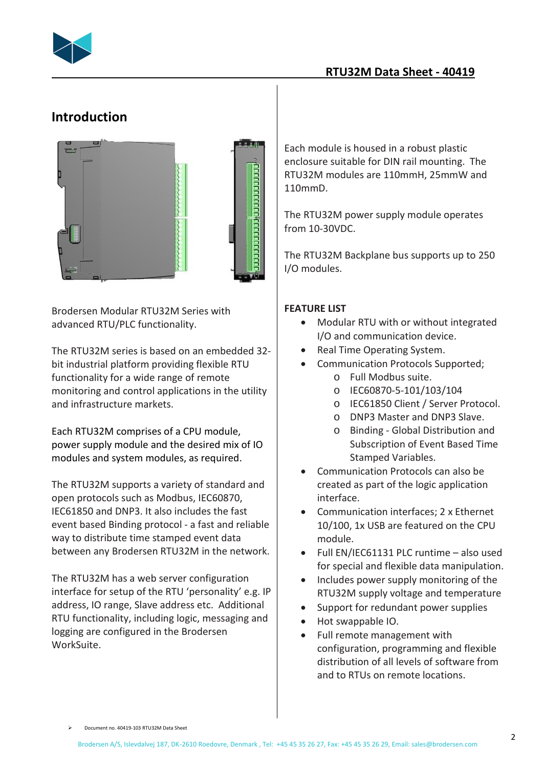

### **RTU32M Data Sheet - 40419**

## **Introduction**



Brodersen Modular RTU32M Series with advanced RTU/PLC functionality.

The RTU32M series is based on an embedded 32 bit industrial platform providing flexible RTU functionality for a wide range of remote monitoring and control applications in the utility and infrastructure markets.

Each RTU32M comprises of a CPU module, power supply module and the desired mix of IO modules and system modules, as required.

The RTU32M supports a variety of standard and open protocols such as Modbus, IEC60870, IEC61850 and DNP3. It also includes the fast event based Binding protocol - a fast and reliable way to distribute time stamped event data between any Brodersen RTU32M in the network.

The RTU32M has a web server configuration interface for setup of the RTU 'personality' e.g. IP address, IO range, Slave address etc. Additional RTU functionality, including logic, messaging and logging are configured in the Brodersen WorkSuite.

Each module is housed in a robust plastic enclosure suitable for DIN rail mounting. The RTU32M modules are 110mmH, 25mmW and 110mmD.

The RTU32M power supply module operates from 10-30VDC.

The RTU32M Backplane bus supports up to 250 I/O modules.

#### **FEATURE LIST**

- · Modular RTU with or without integrated I/O and communication device.
- Real Time Operating System.
- · Communication Protocols Supported;
	- o Full Modbus suite.
	- o IEC60870-5-101/103/104
	- o IEC61850 Client / Server Protocol.
	- o DNP3 Master and DNP3 Slave.
	- o Binding Global Distribution and Subscription of Event Based Time Stamped Variables.
- · Communication Protocols can also be created as part of the logic application interface.
- · Communication interfaces; 2 x Ethernet 10/100, 1x USB are featured on the CPU module.
- · Full EN/IEC61131 PLC runtime also used for special and flexible data manipulation.
- · Includes power supply monitoring of the RTU32M supply voltage and temperature
- · Support for redundant power supplies
- · Hot swappable IO.
- Full remote management with configuration, programming and flexible distribution of all levels of software from and to RTUs on remote locations.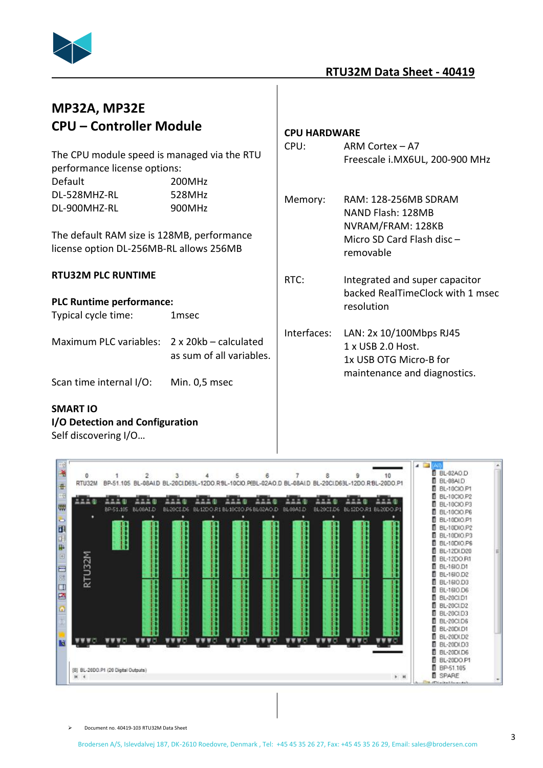

#### **RTU32M Data Sheet - 40419**

## **MP32A, MP32E CPU – Controller Module**

The CPU module speed is managed via the RTU performance license options: Default 200MHz DL-528MHZ-RL 528MHz

| 522011121    | JLUIVIIIL |
|--------------|-----------|
| DL-900MHZ-RL | 900MHz    |

The default RAM size is 128MB, performance license option DL-256MB-RL allows 256MB

#### **RTU32M PLC RUNTIME**

**PLC Runtime performance:** Typical cycle time: 1msec

Maximum PLC variables: 2 x 20kb – calculated as sum of all variables.

Scan time internal I/O: Min. 0,5 msec

#### **SMART IO**

#### **I/O Detection and Configuration**

Self discovering I/O…

#### **CPU HARDWARE**

- CPU: ARM Cortex A7 Freescale i.MX6UL, 200-900 MHz
- Memory: RAM: 128-256MB SDRAM NAND Flash: 128MB NVRAM/FRAM: 128KB Micro SD Card Flash disc – removable
- RTC: Integrated and super capacitor backed RealTimeClock with 1 msec resolution
- Interfaces: LAN: 2x 10/100Mbps RJ45 1 x USB 2.0 Host. 1x USB OTG Micro-B for maintenance and diagnostics.